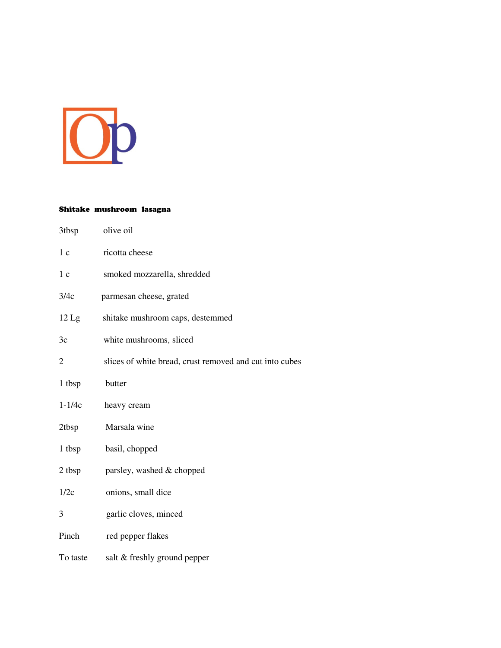

## Shitake mushroom lasagna

| 3tbsp            | olive oil                                               |
|------------------|---------------------------------------------------------|
| 1 <sub>c</sub>   | ricotta cheese                                          |
| 1 <sub>c</sub>   | smoked mozzarella, shredded                             |
| 3/4c             | parmesan cheese, grated                                 |
| $12 \mathrm{Lg}$ | shitake mushroom caps, destemmed                        |
| 3c               | white mushrooms, sliced                                 |
| $\overline{2}$   | slices of white bread, crust removed and cut into cubes |
| 1 tbsp           | butter                                                  |
| $1 - 1/4c$       | heavy cream                                             |
| 2tbsp            | Marsala wine                                            |
| 1 tbsp           | basil, chopped                                          |
| 2 tbsp           | parsley, washed & chopped                               |
| 1/2c             | onions, small dice                                      |
| 3                | garlic cloves, minced                                   |
| Pinch            | red pepper flakes                                       |
| To taste         | salt & freshly ground pepper                            |